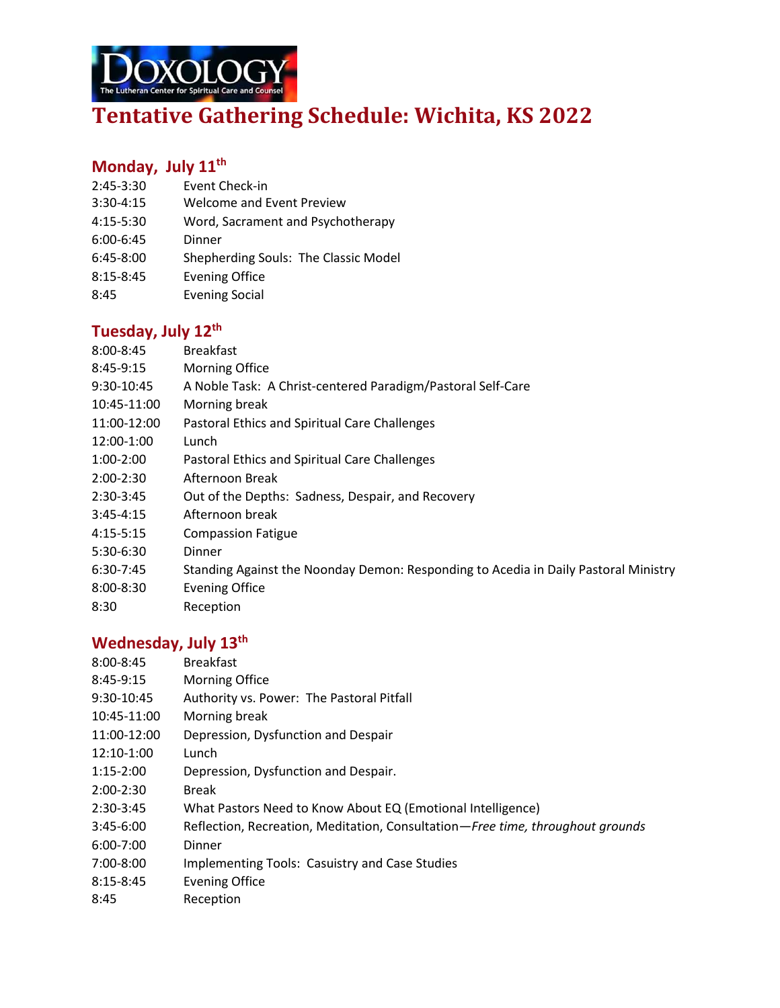

# **Tentative Gathering Schedule: Wichita, KS 2022**

## **Monday, July 11 th**

- 2:45-3:30 Event Check-in
- 3:30-4:15 Welcome and Event Preview
- 4:15-5:30 Word, Sacrament and Psychotherapy
- 6:00-6:45 Dinner
- 6:45-8:00 Shepherding Souls: The Classic Model
- 8:15-8:45 Evening Office
- 8:45 Evening Social

#### **Tuesday, July 12th**

- 8:00-8:45 Breakfast
- 8:45-9:15 Morning Office
- 9:30-10:45 A Noble Task: A Christ-centered Paradigm/Pastoral Self-Care
- 10:45-11:00 Morning break
- 11:00-12:00 Pastoral Ethics and Spiritual Care Challenges
- 12:00-1:00 Lunch
- 1:00-2:00 Pastoral Ethics and Spiritual Care Challenges
- 2:00-2:30 Afternoon Break
- 2:30-3:45 Out of the Depths: Sadness, Despair, and Recovery
- 3:45-4:15 Afternoon break
- 4:15-5:15 Compassion Fatigue
- 5:30-6:30 Dinner
- 6:30-7:45 Standing Against the Noonday Demon: Responding to Acedia in Daily Pastoral Ministry
- 8:00-8:30 Evening Office
- 8:30 Reception

## **Wednesday, July 13th**

| $8:00 - 8:45$ | <b>Breakfast</b>                                                               |
|---------------|--------------------------------------------------------------------------------|
| 8:45-9:15     | Morning Office                                                                 |
| 9:30-10:45    | Authority vs. Power: The Pastoral Pitfall                                      |
| 10:45-11:00   | Morning break                                                                  |
| 11:00-12:00   | Depression, Dysfunction and Despair                                            |
| 12:10-1:00    | Lunch                                                                          |
| $1:15-2:00$   | Depression, Dysfunction and Despair.                                           |
| $2:00-2:30$   | <b>Break</b>                                                                   |
| $2:30-3:45$   | What Pastors Need to Know About EQ (Emotional Intelligence)                    |
| $3:45-6:00$   | Reflection, Recreation, Meditation, Consultation-Free time, throughout grounds |
| $6:00 - 7:00$ | Dinner                                                                         |
| 7:00-8:00     | Implementing Tools: Casuistry and Case Studies                                 |
| $8:15 - 8:45$ | <b>Evening Office</b>                                                          |
| 8:45          | Reception                                                                      |